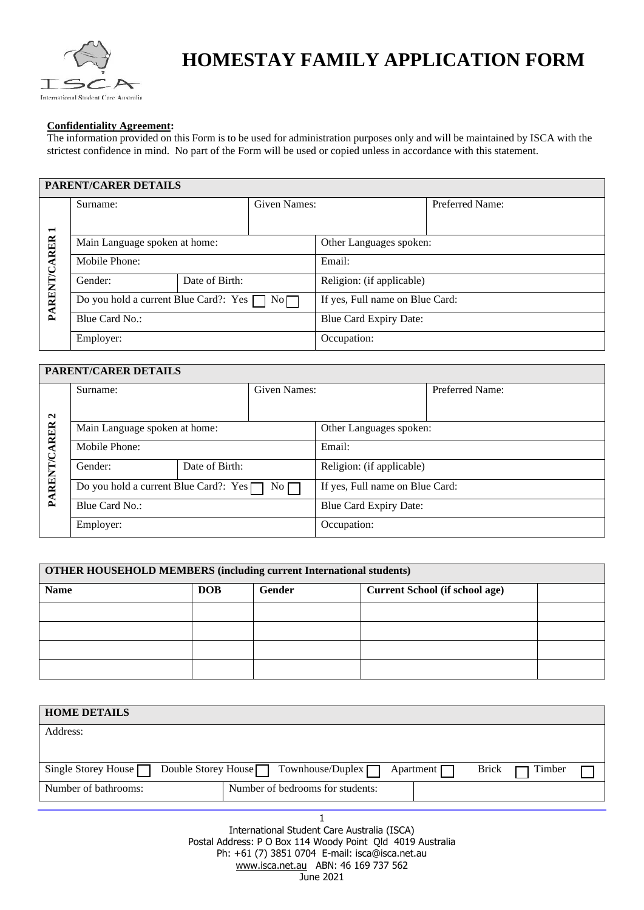

# **HOMESTAY FAMILY APPLICATION FORM**

#### **Confidentiality Agreement:**

The information provided on this Form is to be used for administration purposes only and will be maintained by ISCA with the strictest confidence in mind. No part of the Form will be used or copied unless in accordance with this statement.

## **PARENT/CARER DETAILS**

|                     | Given Names:<br>Surname:                    |  |                           |                                 | Preferred Name: |  |
|---------------------|---------------------------------------------|--|---------------------------|---------------------------------|-----------------|--|
| $\blacksquare$      |                                             |  |                           |                                 |                 |  |
| <b>PARENT/CARER</b> | Main Language spoken at home:               |  |                           | Other Languages spoken:         |                 |  |
|                     | Mobile Phone:                               |  |                           | Email:                          |                 |  |
|                     | Date of Birth:<br>Gender:                   |  | Religion: (if applicable) |                                 |                 |  |
|                     | Do you hold a current Blue Card?: Yes<br>No |  |                           | If yes, Full name on Blue Card: |                 |  |
|                     | Blue Card No.:                              |  | Blue Card Expiry Date:    |                                 |                 |  |
|                     | Employer:                                   |  |                           | Occupation:                     |                 |  |

### **PARENT/CARER DETAILS**

|                     | Surname:                                                  |  | Given Names: |                                 | Preferred Name: |  |
|---------------------|-----------------------------------------------------------|--|--------------|---------------------------------|-----------------|--|
| $\mathbf{\Omega}$   |                                                           |  |              |                                 |                 |  |
|                     | Main Language spoken at home:                             |  |              | Other Languages spoken:         |                 |  |
| <b>PARENT/CARER</b> | Mobile Phone:                                             |  |              | Email:                          |                 |  |
|                     | Date of Birth:<br>Gender:                                 |  |              | Religion: (if applicable)       |                 |  |
|                     | Do you hold a current Blue Card?: $Yes \Box$<br>$No \Box$ |  |              | If yes, Full name on Blue Card: |                 |  |
|                     | Blue Card No.:                                            |  |              | Blue Card Expiry Date:          |                 |  |
|                     | Employer:                                                 |  |              | Occupation:                     |                 |  |

| <b>OTHER HOUSEHOLD MEMBERS (including current International students)</b> |            |        |                                       |  |  |  |  |
|---------------------------------------------------------------------------|------------|--------|---------------------------------------|--|--|--|--|
| <b>Name</b>                                                               | <b>DOB</b> | Gender | <b>Current School (if school age)</b> |  |  |  |  |
|                                                                           |            |        |                                       |  |  |  |  |
|                                                                           |            |        |                                       |  |  |  |  |
|                                                                           |            |        |                                       |  |  |  |  |
|                                                                           |            |        |                                       |  |  |  |  |

| <b>HOME DETAILS</b>                               |                                                      |        |
|---------------------------------------------------|------------------------------------------------------|--------|
| Address:                                          |                                                      |        |
|                                                   |                                                      |        |
| Single Storey House<br>Double Storey House $\Box$ | Townhouse/Duplex $\Box$<br>Brick<br>Apartment $\Box$ | Timber |
| Number of bathrooms:                              | Number of bedrooms for students:                     |        |

1